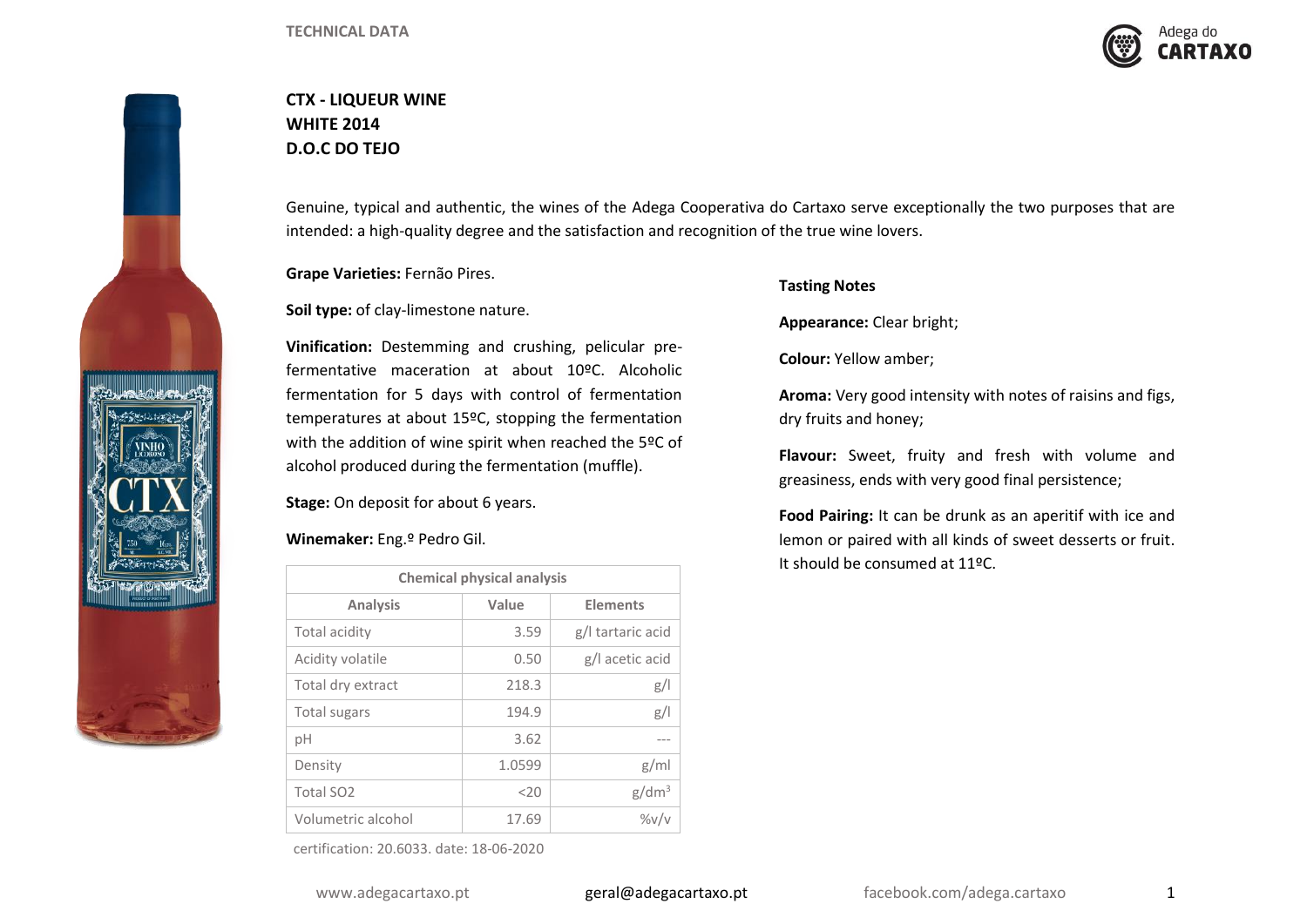

## **CTX - LIQUEUR WINE WHITE 2014 D.O.C DO TEJO**



Genuine, typical and authentic, the wines of the Adega Cooperativa do Cartaxo serve exceptionally the two purposes that are intended: a high-quality degree and the satisfaction and recognition of the true wine lovers.

**Grape Varieties:** Fernão Pires.

**Soil type:** of clay-limestone nature.

**Vinification:** Destemming and crushing, pelicular prefermentative maceration at about 10ºC. Alcoholic fermentation for 5 days with control of fermentation temperatures at about 15ºC, stopping the fermentation with the addition of wine spirit when reached the 5ºC of alcohol produced during the fermentation (muffle).

**Stage:** On deposit for about 6 years.

## **Winemaker:** Eng.º Pedro Gil.

| <b>Chemical physical analysis</b> |        |                   |  |  |
|-----------------------------------|--------|-------------------|--|--|
| <b>Analysis</b>                   | Value  | <b>Elements</b>   |  |  |
| Total acidity                     | 3.59   | g/l tartaric acid |  |  |
| Acidity volatile                  | 0.50   | g/l acetic acid   |  |  |
| Total dry extract                 | 218.3  | g/1               |  |  |
| Total sugars                      | 194.9  | g/                |  |  |
| рH                                | 3.62   |                   |  |  |
| Density                           | 1.0599 | g/ml              |  |  |
| Total SO <sub>2</sub>             | $<$ 20 | g/dm <sup>3</sup> |  |  |
| Volumetric alcohol                | 17.69  | $\frac{9}{V}$     |  |  |

certification: 20.6033. date: 18-06-2020

## **Tasting Notes**

**Appearance:** Clear bright;

**Colour:** Yellow amber;

**Aroma:** Very good intensity with notes of raisins and figs, dry fruits and honey;

**Flavour:** Sweet, fruity and fresh with volume and greasiness, ends with very good final persistence;

**Food Pairing:** It can be drunk as an aperitif with ice and lemon or paired with all kinds of sweet desserts or fruit. It should be consumed at 11ºC.